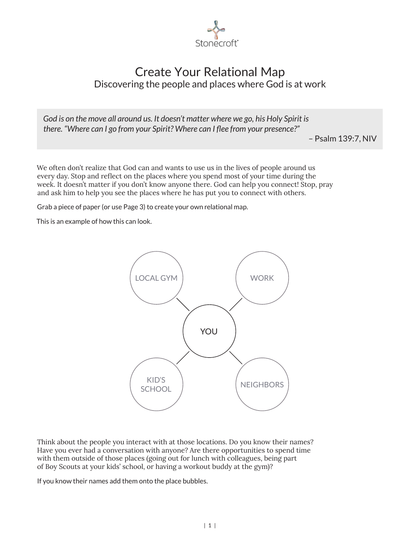

## Create Your Relational Map Discovering the people and places where God is at work

*God is on the move all around us. It doesn't matter where we go, his Holy Spirit is there. "Where can I go from your Spirit? Where can I flee from your presence?"*

– Psalm 139:7, NIV

We often don't realize that God can and wants to use us in the lives of people around us every day. Stop and reflect on the places where you spend most of your time during the week. It doesn't matter if you don't know anyone there. God can help you connect! Stop, pray and ask him to help you see the places where he has put you to connect with others.

Grab a piece of paper (or use Page 3) to create your own relational map.

This is an example of how this can look.



Think about the people you interact with at those locations. Do you know their names? Have you ever had a conversation with anyone? Are there opportunities to spend time with them outside of those places (going out for lunch with colleagues, being part of Boy Scouts at your kids' school, or having a workout buddy at the gym)?

If you know their names add them onto the place bubbles.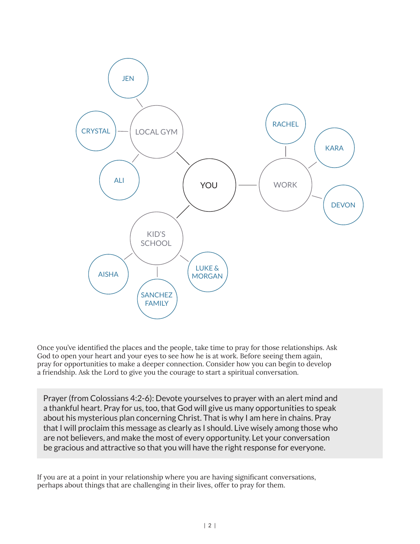

Once you've identified the places and the people, take time to pray for those relationships. Ask God to open your heart and your eyes to see how he is at work. Before seeing them again, pray for opportunities to make a deeper connection. Consider how you can begin to develop a friendship. Ask the Lord to give you the courage to start a spiritual conversation.

Prayer (from Colossians 4:2-6): Devote yourselves to prayer with an alert mind and a thankful heart. Pray for us, too, that God will give us many opportunities to speak about his mysterious plan concerning Christ. That is why I am here in chains. Pray that I will proclaim this message as clearly as I should. Live wisely among those who are not believers, and make the most of every opportunity. Let your conversation be gracious and attractive so that you will have the right response for everyone.

If you are at a point in your relationship where you are having significant conversations, perhaps about things that are challenging in their lives, offer to pray for them.